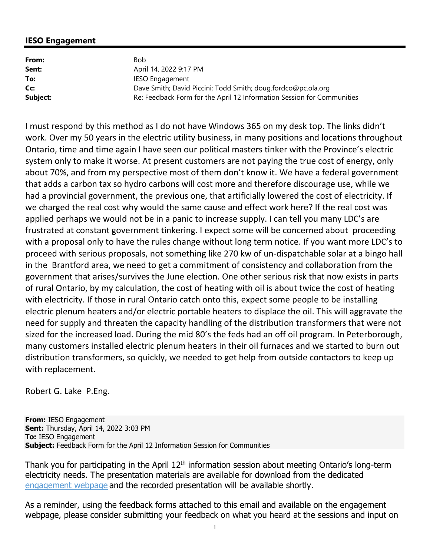## **IESO Engagement**

| From:    | Bob.                                                                   |
|----------|------------------------------------------------------------------------|
| Sent:    | April 14, 2022 9:17 PM                                                 |
| To:      | <b>IESO Engagement</b>                                                 |
| Cc:      | Dave Smith; David Piccini; Todd Smith; doug.fordco@pc.ola.org          |
| Subject: | Re: Feedback Form for the April 12 Information Session for Communities |

 I must respond by this method as I do not have Windows 365 on my desk top. The links didn't work. Over my 50 years in the electric utility business, in many positions and locations throughout Ontario, time and time again I have seen our political masters tinker with the Province's electric system only to make it worse. At present customers are not paying the true cost of energy, only about 70%, and from my perspective most of them don't know it. We have a federal government that adds a carbon tax so hydro carbons will cost more and therefore discourage use, while we had a provincial government, the previous one, that artificially lowered the cost of electricity. If we charged the real cost why would the same cause and effect work here? If the real cost was applied perhaps we would not be in a panic to increase supply. I can tell you many LDC's are frustrated at constant government tinkering. I expect some will be concerned about proceeding with a proposal only to have the rules change without long term notice. If you want more LDC's to proceed with serious proposals, not something like 270 kw of un‐dispatchable solar at a bingo hall in the Brantford area, we need to get a commitment of consistency and collaboration from the government that arises/survives the June election. One other serious risk that now exists in parts of rural Ontario, by my calculation, the cost of heating with oil is about twice the cost of heating with electricity. If those in rural Ontario catch onto this, expect some people to be installing electric plenum heaters and/or electric portable heaters to displace the oil. This will aggravate the need for supply and threaten the capacity handling of the distribution transformers that were not sized for the increased load. During the mid 80's the feds had an off oil program. In Peterborough, many customers installed electric plenum heaters in their oil furnaces and we started to burn out distribution transformers, so quickly, we needed to get help from outside contactors to keep up with replacement.

Robert G. Lake P.Eng.

**From:** IESO Engagement **Sent:** Thursday, April 14, 2022 3:03 PM **To:** IESO Engagement **Subject:** Feedback Form for the April 12 Information Session for Communities

Thank you for participating in the April 12<sup>th</sup> information session about meeting Ontario's long-term electricity needs. The presentation materials are available for download from the dedicated [engagement webpage a](https://www.ieso.ca/en/Sector-Participants/Engagement-Initiatives/Engagements/Long-Term-RFP-Community-Engagement)nd the recorded presentation will be available shortly.

As a reminder, using the feedback forms attached to this email and available on the engagement webpage, please consider submitting your feedback on what you heard at the sessions and input on